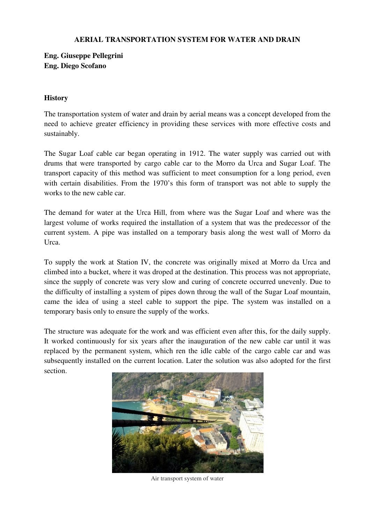#### **AERIAL TRANSPORTATION SYSTEM FOR WATER AND DRAIN**

# **Eng. Giuseppe Pellegrini Eng. Diego Scofano**

#### **History**

The transportation system of water and drain by aerial means was a concept developed from the need to achieve greater efficiency in providing these services with more effective costs and sustainably.

The Sugar Loaf cable car began operating in 1912. The water supply was carried out with drums that were transported by cargo cable car to the Morro da Urca and Sugar Loaf. The transport capacity of this method was sufficient to meet consumption for a long period, even with certain disabilities. From the 1970's this form of transport was not able to supply the works to the new cable car.

The demand for water at the Urca Hill, from where was the Sugar Loaf and where was the largest volume of works required the installation of a system that was the predecessor of the current system. A pipe was installed on a temporary basis along the west wall of Morro da Urca.

To supply the work at Station IV, the concrete was originally mixed at Morro da Urca and climbed into a bucket, where it was droped at the destination. This process was not appropriate, since the supply of concrete was very slow and curing of concrete occurred unevenly. Due to the difficulty of installing a system of pipes down throug the wall of the Sugar Loaf mountain, came the idea of using a steel cable to support the pipe. The system was installed on a temporary basis only to ensure the supply of the works.

The structure was adequate for the work and was efficient even after this, for the daily supply. It worked continuously for six years after the inauguration of the new cable car until it was replaced by the permanent system, which ren the idle cable of the cargo cable car and was subsequently installed on the current location. Later the solution was also adopted for the first section.



Air transport system of water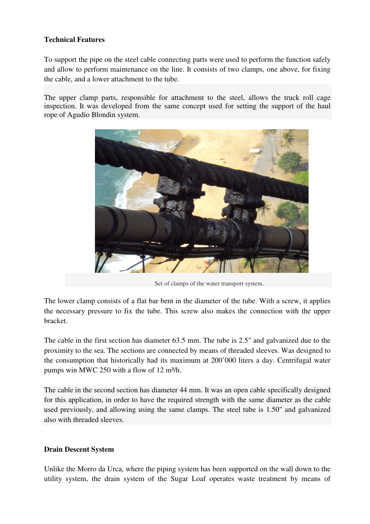## **Technical Features**

To support the pipe on the steel cable connecting parts were used to perform the function safely and allow to perform maintenance on the line. It consists of two clamps, one above, for fixing the cable, and a lower attachment to the tube.

The upper clamp parts, responsible for attachment to the steel, allows the truck roll cage inspection. It was developed from the same concept used for setting the support of the haul rope of Agudio Blondin system.



Set of clamps of the water transport system.

The lower clamp consists of a flat bar bent in the diameter of the tube. With a screw, it applies the necessary pressure to fix the tube. This screw also makes the connection with the upper bracket.

The cable in the first section has diameter 63.5 mm. The tube is 2.5" and galvanized due to the proximity to the sea. The sections are connected by means of threaded sleeves. Was designed to the consumption that historically had its maximum at 200'000 liters a day. Centrifugal water pumps win MWC 250 with a flow of 12 m<sup>3</sup>/h.

The cable in the second section has diameter 44 mm. It was an open cable specifically designed for this application, in order to have the required strength with the same diameter as the cable used previously, and allowing using the same clamps. The steel tube is 1.50" and galvanized also with threaded sleeves.

### **Drain Descent System**

Unlike the Morro da Urca, where the piping system has been supported on the wall down to the utility system, the drain system of the Sugar Loaf operates waste treatment by means of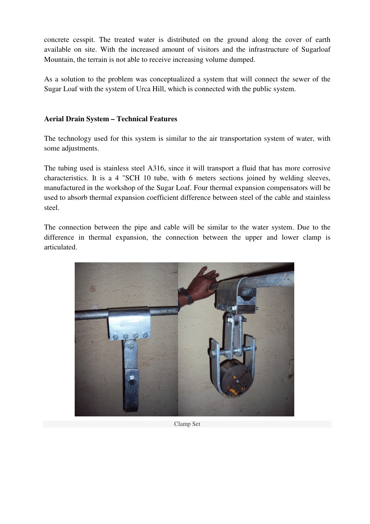concrete cesspit. The treated water is distributed on the ground along the cover of earth available on site. With the increased amount of visitors and the infrastructure of Sugarloaf Mountain, the terrain is not able to receive increasing volume dumped.

As a solution to the problem was conceptualized a system that will connect the sewer of the Sugar Loaf with the system of Urca Hill, which is connected with the public system.

## **Aerial Drain System – Technical Features**

The technology used for this system is similar to the air transportation system of water, with some adjustments.

The tubing used is stainless steel A316, since it will transport a fluid that has more corrosive characteristics. It is a 4 "SCH 10 tube, with 6 meters sections joined by welding sleeves, manufactured in the workshop of the Sugar Loaf. Four thermal expansion compensators will be used to absorb thermal expansion coefficient difference between steel of the cable and stainless steel.

The connection between the pipe and cable will be similar to the water system. Due to the difference in thermal expansion, the connection between the upper and lower clamp is articulated.



Clamp Set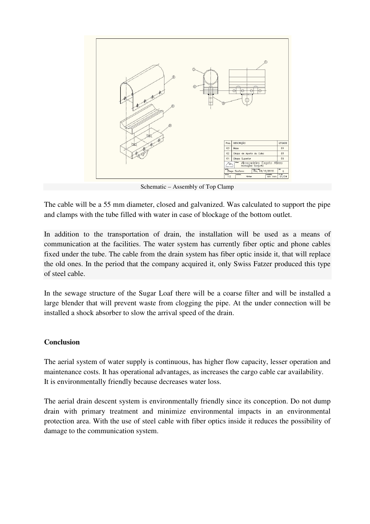

Schematic – Assembly of Top Clamp

The cable will be a 55 mm diameter, closed and galvanized. Was calculated to support the pipe and clamps with the tube filled with water in case of blockage of the bottom outlet.

In addition to the transportation of drain, the installation will be used as a means of communication at the facilities. The water system has currently fiber optic and phone cables fixed under the tube. The cable from the drain system has fiber optic inside it, that will replace the old ones. In the period that the company acquired it, only Swiss Fatzer produced this type of steel cable.

In the sewage structure of the Sugar Loaf there will be a coarse filter and will be installed a large blender that will prevent waste from clogging the pipe. At the under connection will be installed a shock absorber to slow the arrival speed of the drain.

#### **Conclusion**

The aerial system of water supply is continuous, has higher flow capacity, lesser operation and maintenance costs. It has operational advantages, as increases the cargo cable car availability. It is environmentally friendly because decreases water loss.

The aerial drain descent system is environmentally friendly since its conception. Do not dump drain with primary treatment and minimize environmental impacts in an environmental protection area. With the use of steel cable with fiber optics inside it reduces the possibility of damage to the communication system.